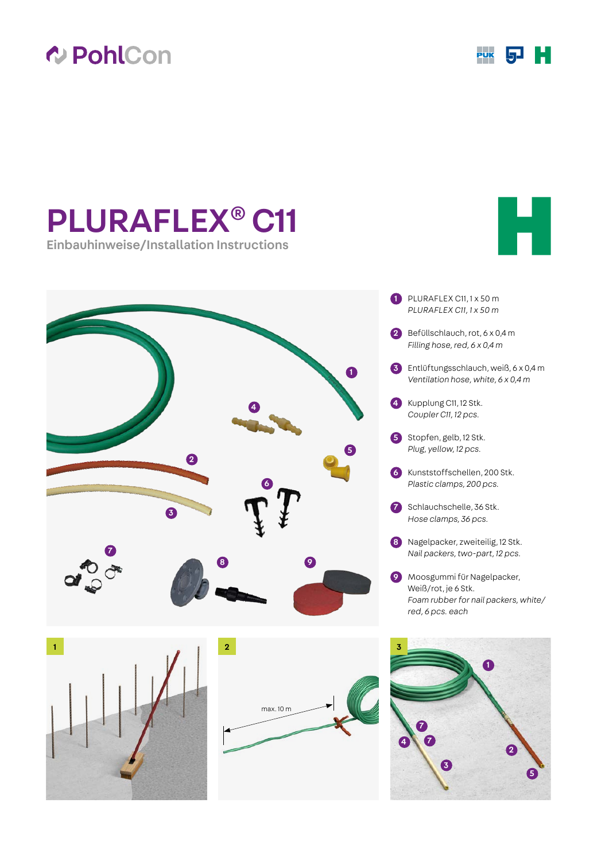## **V PohlCon**



H

## PLURAFLEX® C11

Einbauhinweise/Installation Instructions